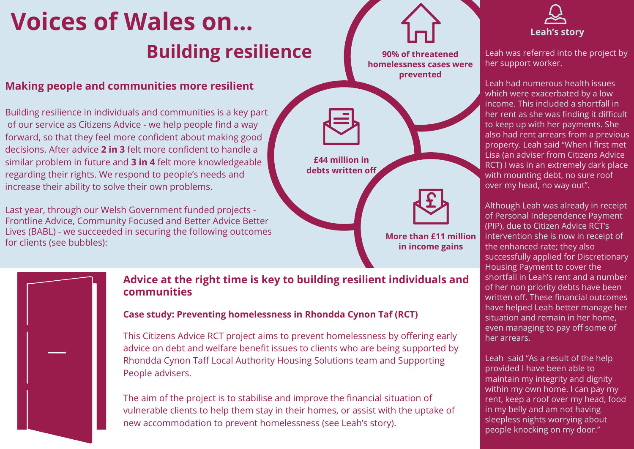# **Voices of Wales on... Building resilience**

#### **Making people and communities more resilient**

Building resilience in individuals and communities is a key part of our service as Citizens Advice - we help people find a way forward, so that they feel more confident about making good decisions. After advice **2 in 3** felt more confident to handle a similar problem in future and **3 in 4** felt more knowledgeable regarding their rights. We respond to people's needs and increase their ability to solve their own problems.

Last year, through our Welsh Government funded projects - Frontline Advice, Community Focused and Better Advice Better Lives (BABL) - we succeeded in securing the following outcomes for clients (see bubbles): **More than £11 million** 



**90% of threatened homelessness cases were prevented**



#### **Advice at the right time is key to building resilient individuals and communities**

#### **Case study: Preventing homelessness in Rhondda Cynon Taf (RCT)**

This Citizens Advice RCT project aims to prevent homelessness by offering early advice on debt and welfare benefit issues to clients who are being supported by Rhondda Cynon Taff Local Authority Housing Solutions team and Supporting People advisers.

The aim of the project is to stabilise and improve the financial situation of vulnerable clients to help them stay in their homes, or assist with the uptake of new accommodation to prevent homelessness (see Leah's story).



Leah was referred into the project by her support worker.

Leah had numerous health issues which were exacerbated by a low income. This included a shortfall in her rent as she was finding it difficult to keep up with her payments. She also had rent arrears from a previous property. Leah said "When I first met Lisa (an adviser from Citizens Advice RCT) I was in an extremely dark place with mounting debt, no sure roof over my head, no way out".

Although Leah was already in receipt of Personal Independence Payment (PIP), due to Citizen Advice RCT's intervention she is now in receipt of the enhanced rate; they also successfully applied for Discretionary Housing Payment to cover the shortfall in Leah's rent and a number of her non priority debts have been written off. These financial outcomes have helped Leah better manage her situation and remain in her home, even managing to pay off some of her arrears.

Leah said "As a result of the help provided I have been able to maintain my integrity and dignity within my own home. I can pay my rent, keep a roof over my head, food in my belly and am not having sleepless nights worrying about people knocking on my door."